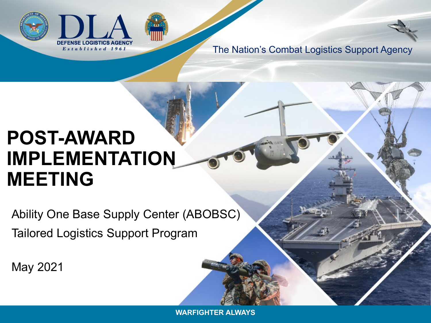



The Nation's Combat Logistics Support Agency

# **POST-AWARD IMPLEMENTATION MEETING**

Ability One Base Supply Center (ABOBSC) Tailored Logistics Support Program

May 2021

**WARFIGHTER ALWAYS**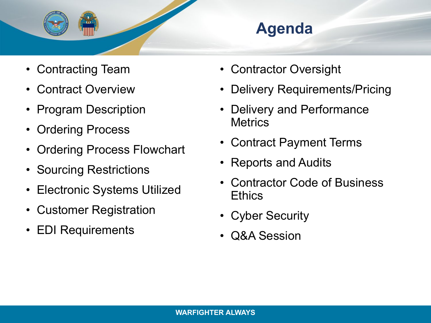

## **Agenda**

- Contracting Team
- Contract Overview
- Program Description
- Ordering Process
- Ordering Process Flowchart
- Sourcing Restrictions
- Electronic Systems Utilized
- Customer Registration
- EDI Requirements
- Contractor Oversight
- Delivery Requirements/Pricing
- Delivery and Performance **Metrics**
- Contract Payment Terms
- Reports and Audits
- Contractor Code of Business Ethics
- Cyber Security
- Q&A Session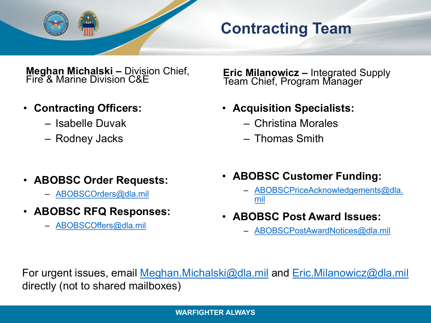

### **Contracting Team**

**Meghan Michalski –** Division Chief, Fire & Marine Division C&E

- **Contracting Officers:**
	- Isabelle Duvak
	- Rodney Jacks

**Eric Milanowicz –** Integrated Supply Team Chief, Program Manager

- **Acquisition Specialists:**
	- Christina Morales
	- Thomas Smith

- **ABOBSC Order Requests:**
	- [ABOBSCOrders@dla.mil](mailto:ABOBSCOrders@dla.mil)
- **ABOBSC RFQ Responses:**
	- [ABOBSCOffers@dla.mil](mailto:ABOBSCOffers@dla.mil)
- **ABOBSC Customer Funding:**
	- [ABOBSCPriceAcknowledgements@dla.](mailto:ABOBSCPriceAcknowledgements@dla.mil) mil
- **ABOBSC Post Award Issues:**
	- [ABOBSCPostAwardNotices@dla.mil](mailto:ABOBSCPostAwardNotices@dla.mil)

For urgent issues, email [Meghan.Michalski@dla.mil](mailto:Meghan.Michalski@dla.mil) and [Eric.Milanowicz@dla.mil](mailto:Eric.Milanowicz@dla.mil) directly (not to shared mailboxes)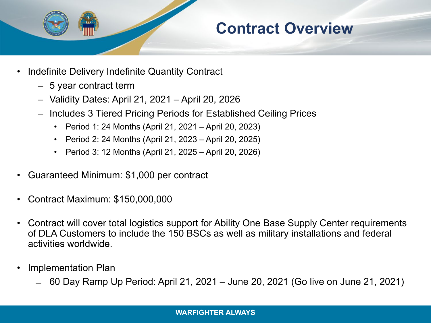

#### **Contract Overview**

- Indefinite Delivery Indefinite Quantity Contract
	- 5 year contract term
	- Validity Dates: April 21, 2021 April 20, 2026
	- Includes 3 Tiered Pricing Periods for Established Ceiling Prices
		- Period 1: 24 Months (April 21, 2021 April 20, 2023)
		- Period 2: 24 Months (April 21, 2023 April 20, 2025)
		- Period 3: 12 Months (April 21, 2025 April 20, 2026)
- Guaranteed Minimum: \$1,000 per contract
- Contract Maximum: \$150,000,000
- Contract will cover total logistics support for Ability One Base Supply Center requirements of DLA Customers to include the 150 BSCs as well as military installations and federal activities worldwide.
- Implementation Plan
	- ̶ 60 Day Ramp Up Period: April 21, 2021 June 20, 2021 (Go live on June 21, 2021)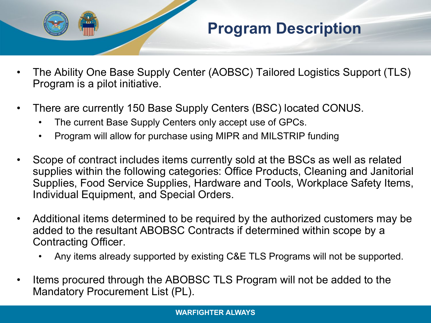

#### **Program Description**

- The Ability One Base Supply Center (AOBSC) Tailored Logistics Support (TLS) Program is a pilot initiative.
- There are currently 150 Base Supply Centers (BSC) located CONUS.
	- The current Base Supply Centers only accept use of GPCs.
	- Program will allow for purchase using MIPR and MILSTRIP funding
- Scope of contract includes items currently sold at the BSCs as well as related supplies within the following categories: Office Products, Cleaning and Janitorial Supplies, Food Service Supplies, Hardware and Tools, Workplace Safety Items, Individual Equipment, and Special Orders.
- Additional items determined to be required by the authorized customers may be added to the resultant ABOBSC Contracts if determined within scope by a Contracting Officer.
	- Any items already supported by existing C&E TLS Programs will not be supported.
- Items procured through the ABOBSC TLS Program will not be added to the Mandatory Procurement List (PL).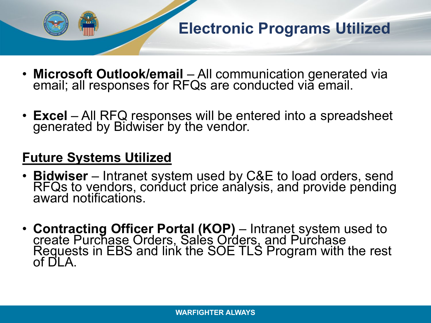

- **Microsoft Outlook/email**  All communication generated via email; all responses for RFQs are conducted via email.
- **Excel** All RFQ responses will be entered into a spreadsheet generated by Bidwiser by the vendor.

#### **Future Systems Utilized**

- **Bidwiser** Intranet system used by C&E to load orders, send<br>RFQs to vendors, conduct price analysis, and provide pending award notifications.
- **Contracting Officer Portal (KOP)** Intranet system used to create Purchase Orders, Sales Orders, and Purchase Requests in EBS and link the SOE TLS Program with the rest of DLA.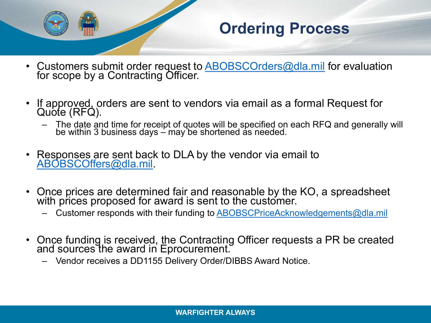

## **Ordering Process**

- Customers submit order request to [ABOBSCOrders@dla.mil](mailto:ABOBSCOrders@dla.mil) for evaluation for scope by a Contracting Officer.
- If approved, orders are sent to vendors via email as a formal Request for Quote (RFQ).
	- The date and time for receipt of quotes will be specified on each RFQ and generally will be within 3 business days – may be shortened as needed.
- Responses are sent back to DLA by the vendor via email to [ABOBSCOffers@dla.mil](mailto:ABOBSCOffers@dla.mil).
- Once prices are determined fair and reasonable by the KO, a spreadsheet with prices proposed for award is sent to the customer.
	- Customer responds with their funding to **ABOBSCPriceAcknowledgements@dla.mil**
- Once funding is received, the Contracting Officer requests a PR be created and sources the award in Eprocurement.
	- Vendor receives a DD1155 Delivery Order/DIBBS Award Notice.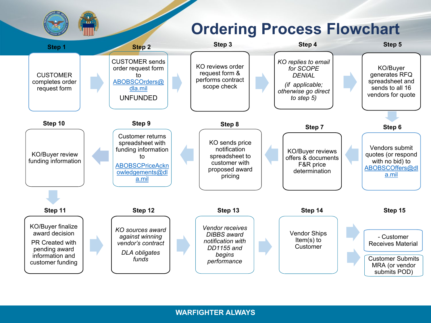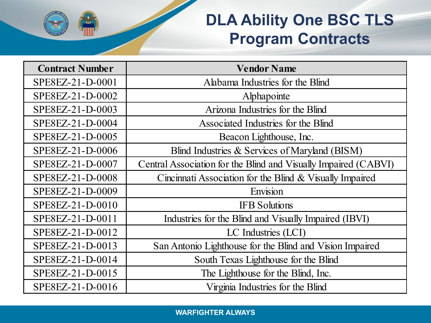

## **DLA Ability One BSC TLS Program Contracts**

| <b>Contract Number</b> | <b>Vendor Name</b>                                              |
|------------------------|-----------------------------------------------------------------|
| SPE8EZ-21-D-0001       | Alabama Industries for the Blind                                |
| SPE8EZ-21-D-0002       | Alphapointe                                                     |
| SPE8EZ-21-D-0003       | Arizona Industries for the Blind                                |
| SPE8EZ-21-D-0004       | Associated Industries for the Blind                             |
| SPE8EZ-21-D-0005       | Beacon Lighthouse, Inc.                                         |
| SPE8EZ-21-D-0006       | Blind Industries & Services of Maryland (BISM)                  |
| SPE8EZ-21-D-0007       | Central Association for the Blind and Visually Impaired (CABVI) |
| SPE8EZ-21-D-0008       | Cincinnati Association for the Blind & Visually Impaired        |
| SPE8EZ-21-D-0009       | Envision                                                        |
| SPE8EZ-21-D-0010       | <b>IFB</b> Solutions                                            |
| SPE8EZ-21-D-0011       | Industries for the Blind and Visually Impaired (IBVI)           |
| SPE8EZ-21-D-0012       | LC Industries (LCI)                                             |
| SPE8EZ-21-D-0013       | San Antonio Lighthouse for the Blind and Vision Impaired        |
| SPE8EZ-21-D-0014       | South Texas Lighthouse for the Blind                            |
| SPE8EZ-21-D-0015       | The Lighthouse for the Blind, Inc.                              |
| SPE8EZ-21-D-0016       | Virginia Industries for the Blind                               |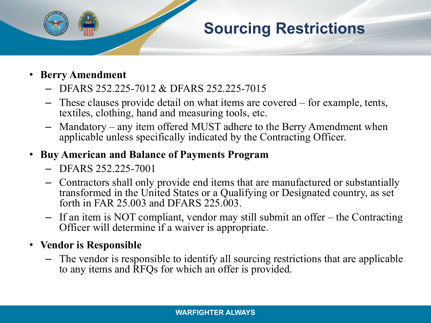## **Sourcing Restrictions**

- **Berry Amendment**
	- DFARS 252.225-7012 & DFARS 252.225-7015
	- These clauses provide detail on what items are covered for example, tents, textiles, clothing, hand and measuring tools, etc.
	- Mandatory any item offered MUST adhere to the Berry Amendment when applicable unless specifically indicated by the Contracting Officer.

#### • **Buy American and Balance of Payments Program**

- DFARS 252.225-7001
- Contractors shall only provide end items that are manufactured or substantially transformed in the United States or a Qualifying or Designated country, as set forth in FAR 25.003 and DFARS 225.003.
- If an item is NOT compliant, vendor may still submit an offer the Contracting Officer will determine if a waiver is appropriate.

#### • **Vendor is Responsible**

– The vendor is responsible to identify all sourcing restrictions that are applicable to any items and RFQs for which an offer is provided.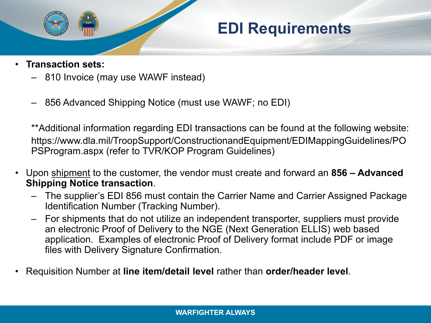

#### **EDI Requirements**

- **Transaction sets:**
	- 810 Invoice (may use WAWF instead)
	- 856 Advanced Shipping Notice (must use WAWF; no EDI)

\*\*Additional information regarding EDI transactions can be found at the following website: https://www.dla.mil/TroopSupport/ConstructionandEquipment/EDIMappingGuidelines/PO PSProgram.aspx (refer to TVR/KOP Program Guidelines)

- Upon shipment to the customer, the vendor must create and forward an **856 – Advanced Shipping Notice transaction**.
	- The supplier's EDI 856 must contain the Carrier Name and Carrier Assigned Package Identification Number (Tracking Number).
	- For shipments that do not utilize an independent transporter, suppliers must provide an electronic Proof of Delivery to the NGE (Next Generation ELLIS) web based application. Examples of electronic Proof of Delivery format include PDF or image files with Delivery Signature Confirmation.
- Requisition Number at **line item/detail level** rather than **order/header level**.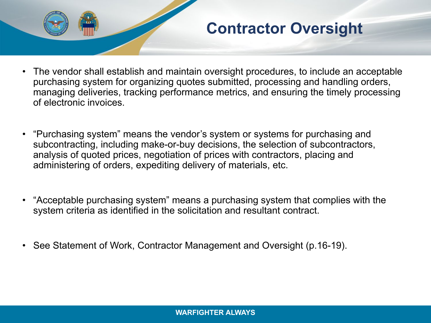

### **Contractor Oversight**

- The vendor shall establish and maintain oversight procedures, to include an acceptable purchasing system for organizing quotes submitted, processing and handling orders, managing deliveries, tracking performance metrics, and ensuring the timely processing of electronic invoices.
- "Purchasing system" means the vendor's system or systems for purchasing and subcontracting, including make-or-buy decisions, the selection of subcontractors, analysis of quoted prices, negotiation of prices with contractors, placing and administering of orders, expediting delivery of materials, etc.
- "Acceptable purchasing system" means a purchasing system that complies with the system criteria as identified in the solicitation and resultant contract.
- See Statement of Work, Contractor Management and Oversight (p.16-19).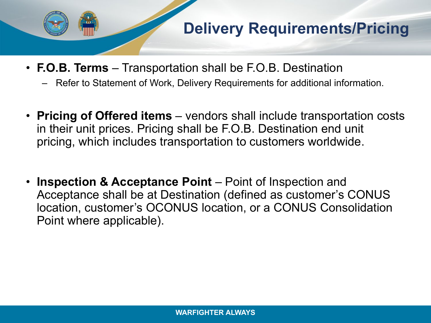

- **F.O.B. Terms**  Transportation shall be F.O.B. Destination
	- Refer to Statement of Work, Delivery Requirements for additional information.
- **Pricing of Offered items**  vendors shall include transportation costs in their unit prices. Pricing shall be F.O.B. Destination end unit pricing, which includes transportation to customers worldwide.
- **Inspection & Acceptance Point**  Point of Inspection and Acceptance shall be at Destination (defined as customer's CONUS location, customer's OCONUS location, or a CONUS Consolidation Point where applicable).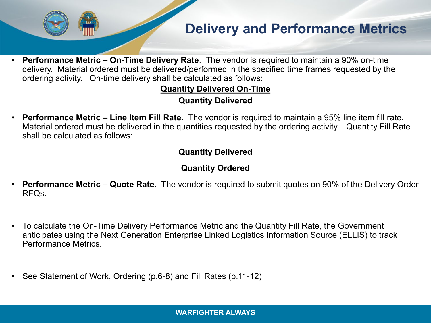#### **Delivery and Performance Metrics**

• **Performance Metric – On-Time Delivery Rate**. The vendor is required to maintain a 90% on-time delivery. Material ordered must be delivered/performed in the specified time frames requested by the ordering activity. On-time delivery shall be calculated as follows:

#### **Quantity Delivered On-Time Quantity Delivered**

• **Performance Metric – Line Item Fill Rate.** The vendor is required to maintain a 95% line item fill rate. Material ordered must be delivered in the quantities requested by the ordering activity. Quantity Fill Rate shall be calculated as follows:

#### **Quantity Delivered**

#### **Quantity Ordered**

- **Performance Metric – Quote Rate.** The vendor is required to submit quotes on 90% of the Delivery Order RFQs.
- To calculate the On-Time Delivery Performance Metric and the Quantity Fill Rate, the Government anticipates using the Next Generation Enterprise Linked Logistics Information Source (ELLIS) to track Performance Metrics.
- See Statement of Work, Ordering (p.6-8) and Fill Rates (p.11-12)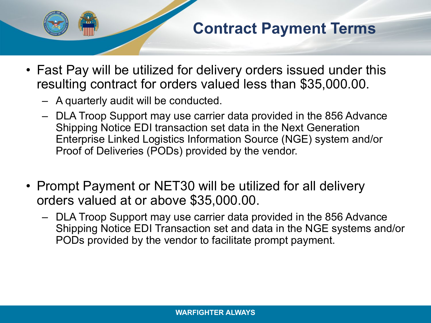

### **Contract Payment Terms**

- Fast Pay will be utilized for delivery orders issued under this resulting contract for orders valued less than \$35,000.00.
	- A quarterly audit will be conducted.
	- DLA Troop Support may use carrier data provided in the 856 Advance Shipping Notice EDI transaction set data in the Next Generation Enterprise Linked Logistics Information Source (NGE) system and/or Proof of Deliveries (PODs) provided by the vendor.
- Prompt Payment or NET30 will be utilized for all delivery orders valued at or above \$35,000.00.
	- DLA Troop Support may use carrier data provided in the 856 Advance Shipping Notice EDI Transaction set and data in the NGE systems and/or PODs provided by the vendor to facilitate prompt payment.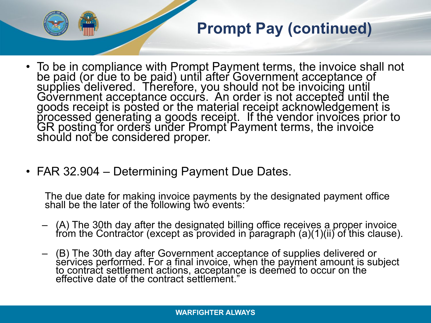

## **Prompt Pay (continued)**

- To be in compliance with Prompt Payment terms, the invoice shall not be paid (or due to be paid) until after Government acceptance of supplies delivered. Therefore, you should not be invoicing until<br>Government acceptance occurs. An order is not accepted until the<br>goods receipt is posted or the material receipt acknowledgement is processed generating a goods receipt. If the vendor invoices prior to<br>GR posting for orders under Prompt Payment terms, the invoice should not be considered proper.
- FAR 32.904 Determining Payment Due Dates.

The due date for making invoice payments by the designated payment office shall be the later of the following two events:

- $\,$  (A) The 30th day after the designated billing office receives a proper invoice  $\,$ from the Contractor (except as provided in paragraph (a)(1)(ii) of this clause).
- (B) The 30th day after Government acceptance of supplies delivered or services performed. For a final invoice, when the payment amount is subject to contract settlement actions, acceptance is deemed to occur on the effective date of the contract settlement."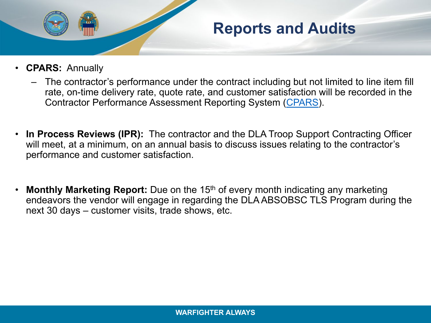

#### **Reports and Audits**

- **CPARS:** Annually
	- The contractor's performance under the contract including but not limited to line item fill rate, on-time delivery rate, quote rate, and customer satisfaction will be recorded in the Contractor Performance Assessment Reporting System [\(CPARS](https://www.cpars.csd.disa.mil/)).
- **In Process Reviews (IPR):** The contractor and the DLA Troop Support Contracting Officer will meet, at a minimum, on an annual basis to discuss issues relating to the contractor's performance and customer satisfaction.
- **Monthly Marketing Report:** Due on the 15<sup>th</sup> of every month indicating any marketing endeavors the vendor will engage in regarding the DLA ABSOBSC TLS Program during the next 30 days – customer visits, trade shows, etc.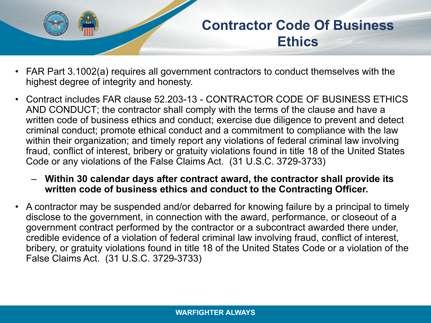

#### **Contractor Code Of Business Ethics**

- FAR Part 3.1002(a) requires all government contractors to conduct themselves with the highest degree of integrity and honesty.
- Contract includes FAR clause 52.203-13 CONTRACTOR CODE OF BUSINESS ETHICS AND CONDUCT; the contractor shall comply with the terms of the clause and have a written code of business ethics and conduct; exercise due diligence to prevent and detect criminal conduct; promote ethical conduct and a commitment to compliance with the law within their organization; and timely report any violations of federal criminal law involving fraud, conflict of interest, bribery or gratuity violations found in title 18 of the United States Code or any violations of the False Claims Act. (31 U.S.C. 3729-3733)
	- **Within 30 calendar days after contract award, the contractor shall provide its written code of business ethics and conduct to the Contracting Officer.**
- A contractor may be suspended and/or debarred for knowing failure by a principal to timely disclose to the government, in connection with the award, performance, or closeout of a government contract performed by the contractor or a subcontract awarded there under, credible evidence of a violation of federal criminal law involving fraud, conflict of interest, bribery, or gratuity violations found in title 18 of the United States Code or a violation of the False Claims Act. (31 U.S.C. 3729-3733)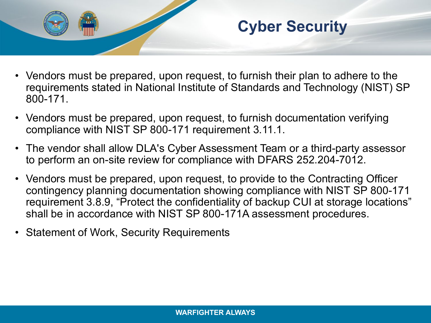

- Vendors must be prepared, upon request, to furnish their plan to adhere to the requirements stated in National Institute of Standards and Technology (NIST) SP 800-171.
- Vendors must be prepared, upon request, to furnish documentation verifying compliance with NIST SP 800-171 requirement 3.11.1.
- The vendor shall allow DLA's Cyber Assessment Team or a third-party assessor to perform an on-site review for compliance with DFARS 252.204-7012.
- Vendors must be prepared, upon request, to provide to the Contracting Officer contingency planning documentation showing compliance with NIST SP 800-171 requirement 3.8.9, "Protect the confidentiality of backup CUI at storage locations" shall be in accordance with NIST SP 800-171A assessment procedures.
- Statement of Work, Security Requirements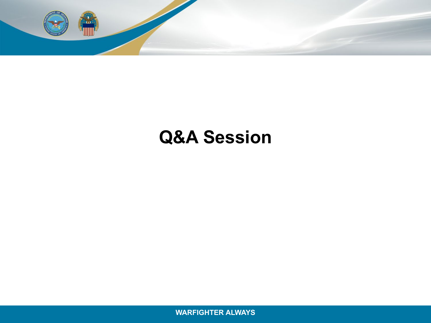

## **Q&A Session**

**WARFIGHTER ALWAYS WARFIGHTER ALWAYS**